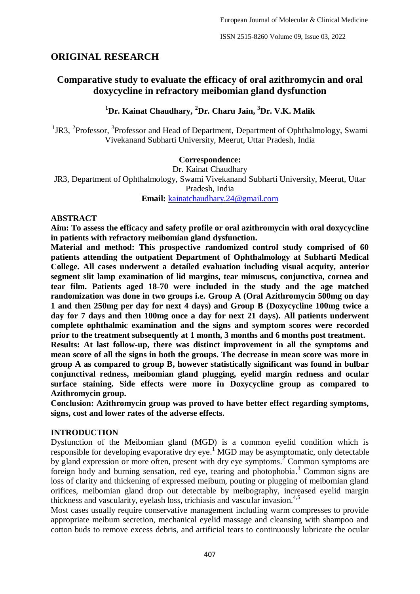# **ORIGINAL RESEARCH**

# **Comparative study to evaluate the efficacy of oral azithromycin and oral doxycycline in refractory meibomian gland dysfunction**

# **<sup>1</sup>Dr. Kainat Chaudhary, <sup>2</sup>Dr. Charu Jain, <sup>3</sup>Dr. V.K. Malik**

<sup>1</sup>JR3, <sup>2</sup>Professor, <sup>3</sup>Professor and Head of Department, Department of Ophthalmology, Swami Vivekanand Subharti University, Meerut, Uttar Pradesh, India

### **Correspondence:**

Dr. Kainat Chaudhary JR3, Department of Ophthalmology, Swami Vivekanand Subharti University, Meerut, Uttar Pradesh, India **Email:** [kainatchaudhary.24@gmail.com](mailto:kainatchaudhary.24@gmail.com)

#### **ABSTRACT**

**Aim: To assess the efficacy and safety profile or oral azithromycin with oral doxycycline in patients with refractory meibomian gland dysfunction.**

**Material and method: This prospective randomized control study comprised of 60 patients attending the outpatient Department of Ophthalmology at Subharti Medical College. All cases underwent a detailed evaluation including visual acquity, anterior segment slit lamp examination of lid margins, tear minuscus, conjunctiva, cornea and tear film. Patients aged 18-70 were included in the study and the age matched randomization was done in two groups i.e. Group A (Oral Azithromycin 500mg on day 1 and then 250mg per day for next 4 days) and Group B (Doxycycline 100mg twice a day for 7 days and then 100mg once a day for next 21 days). All patients underwent complete ophthalmic examination and the signs and symptom scores were recorded prior to the treatment subsequently at 1 month, 3 months and 6 months post treatment.** 

**Results: At last follow-up, there was distinct improvement in all the symptoms and mean score of all the signs in both the groups. The decrease in mean score was more in group A as compared to group B, however statistically significant was found in bulbar conjunctival redness, meibomian gland plugging, eyelid margin redness and ocular surface staining. Side effects were more in Doxycycline group as compared to Azithromycin group.**

**Conclusion: Azithromycin group was proved to have better effect regarding symptoms, signs, cost and lower rates of the adverse effects.**

#### **INTRODUCTION**

Dysfunction of the Meibomian gland (MGD) is a common eyelid condition which is responsible for developing evaporative dry eye.<sup>1</sup> MGD may be asymptomatic, only detectable by gland expression or more often, present with dry eye symptoms.<sup>2</sup> Common symptoms are foreign body and burning sensation, red eye, tearing and photophobia. <sup>3</sup> Common signs are loss of clarity and thickening of expressed meibum, pouting or plugging of meibomian gland orifices, meibomian gland drop out detectable by meibography, increased eyelid margin thickness and vascularity, eyelash loss, trichiasis and vascular invasion. 4,5

Most cases usually require conservative management including warm compresses to provide appropriate meibum secretion, mechanical eyelid massage and cleansing with shampoo and cotton buds to remove excess debris, and artificial tears to continuously lubricate the ocular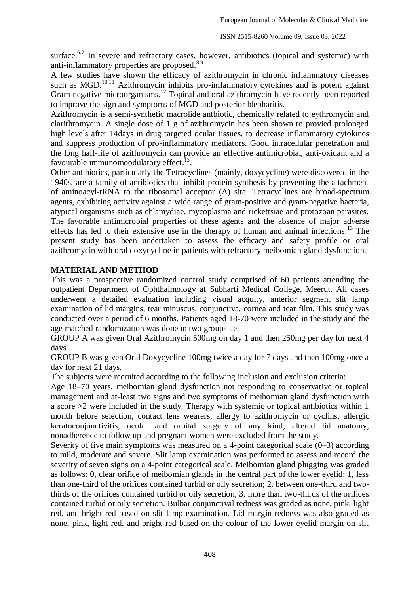surface.<sup>6,7</sup> In severe and refractory cases, however, antibiotics (topical and systemic) with anti-inflammatory properties are proposed.<sup>8,9</sup>

A few studies have shown the efficacy of azithromycin in chronic inflammatory diseases such as MGD.<sup>10,11</sup> Azithromycin inhibits pro-inflammatory cytokines and is potent against Gram-negative microorganisms.<sup>12</sup> Topical and oral azithromycin have recently been reported to improve the sign and symptoms of MGD and posterior blepharitis.

Azithromycin is a semi-synthetic macrolide antbiotic, chemically related to eythromycin and clarithromycin. A single dose of 1 g of azithromycin has been shown to provied prolonged high levels after 14days in drug targeted ocular tissues, to decrease inflammatory cytokines and suppress production of pro-inflammatory mediators. Good intracellular penetration and the long half-life of azithromycin can provide an effective antimicrobial, anti-oxidant and a favourable immunomoodulatory effect.<sup>13</sup>.

Other antibiotics, particularly the Tetracyclines (mainly, doxycycline) were discovered in the 1940s, are a family of antibiotics that inhibit protein synthesis by preventing the attachment of aminoacyl-tRNA to the ribosomal acceptor (A) site. Tetracyclines are broad-spectrum agents, exhibiting activity against a wide range of gram-positive and gram-negative bacteria, atypical organisms such as chlamydiae, mycoplasma and rickettsiae and protozoan parasites. The favorable antimicrobial properties of these agents and the absence of major adverse effects has led to their extensive use in the therapy of human and animal infections.<sup>13</sup> The present study has been undertaken to assess the efficacy and safety profile or oral azithromycin with oral doxycycline in patients with refractory meibomian gland dysfunction.

## **MATERIAL AND METHOD**

This was a prospective randomized control study comprised of 60 patients attending the outpatient Department of Ophthalmology at Subharti Medical College, Meerut. All cases underwent a detailed evaluation including visual acquity, anterior segment slit lamp examination of lid margins, tear minuscus, conjunctiva, cornea and tear film. This study was conducted over a period of 6 months. Patients aged 18-70 were included in the study and the age matched randomization was done in two groups i.e.

GROUP A was given Oral Azithromycin 500mg on day 1 and then 250mg per day for next 4 days.

GROUP B was given Oral Doxycycline 100mg twice a day for 7 days and then 100mg once a day for next 21 days.

The subjects were recruited according to the following inclusion and exclusion criteria:

Age 18–70 years, meibomian gland dysfunction not responding to conservative or topical management and at-least two signs and two symptoms of meibomian gland dysfunction with a score >2 were included in the study. Therapy with systemic or topical antibiotics within 1 month before selection, contact lens wearers, allergy to azithromycin or cyclins, allergic keratoconjunctivitis, ocular and orbital surgery of any kind, altered lid anatomy, nonadherence to follow up and pregnant women were excluded from the study.

Severity of five main symptoms was measured on a 4-point categorical scale (0–3) according to mild, moderate and severe. Slit lamp examination was performed to assess and record the severity of seven signs on a 4-point categorical scale. Meibomian gland plugging was graded as follows: 0, clear orifice of meibomian glands in the central part of the lower eyelid; 1, less than one-third of the orifices contained turbid or oily secretion; 2, between one-third and twothirds of the orifices contained turbid or oily secretion; 3, more than two-thirds of the orifices contained turbid or oily secretion. Bulbar conjunctival redness was graded as none, pink, light red, and bright red based on slit lamp examination. Lid margin redness was also graded as none, pink, light red, and bright red based on the colour of the lower eyelid margin on slit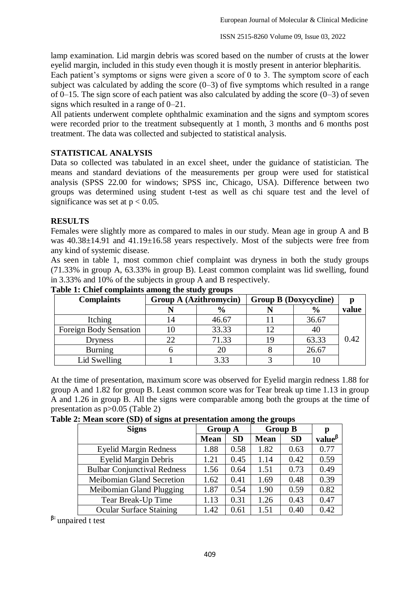lamp examination. Lid margin debris was scored based on the number of crusts at the lower eyelid margin, included in this study even though it is mostly present in anterior blepharitis.

Each patient's symptoms or signs were given a score of 0 to 3. The symptom score of each subject was calculated by adding the score  $(0-3)$  of five symptoms which resulted in a range of 0–15. The sign score of each patient was also calculated by adding the score  $(0-3)$  of seven signs which resulted in a range of 0–21.

All patients underwent complete ophthalmic examination and the signs and symptom scores were recorded prior to the treatment subsequently at 1 month, 3 months and 6 months post treatment. The data was collected and subjected to statistical analysis.

## **STATISTICAL ANALYSIS**

Data so collected was tabulated in an excel sheet, under the guidance of statistician. The means and standard deviations of the measurements per group were used for statistical analysis (SPSS 22.00 for windows; SPSS inc, Chicago, USA). Difference between two groups was determined using student t-test as well as chi square test and the level of significance was set at  $p < 0.05$ .

### **RESULTS**

Females were slightly more as compared to males in our study. Mean age in group A and B was  $40.38\pm14.91$  and  $41.19\pm16.58$  years respectively. Most of the subjects were free from any kind of systemic disease.

As seen in table 1, most common chief complaint was dryness in both the study groups (71.33% in group A, 63.33% in group B). Least common complaint was lid swelling, found in 3.33% and 10% of the subjects in group A and B respectively.

| <b>Complaints</b>      | <b>Group A (Azithromycin)</b> |               | <b>Group B (Doxycycline)</b> |               |       |
|------------------------|-------------------------------|---------------|------------------------------|---------------|-------|
|                        |                               | $\frac{6}{9}$ |                              | $\frac{0}{0}$ | value |
| Itching                | ι4                            | 46.67         |                              | 36.67         |       |
| Foreign Body Sensation |                               | 33.33         | 12                           |               |       |
| Dryness                | 22                            | 71.33         | 19                           | 63.33         | 0.42  |
| <b>Burning</b>         |                               | 20            |                              | 26.67         |       |
| Lid Swelling           |                               | 3.33          |                              |               |       |

**Table 1: Chief complaints among the study groups**

At the time of presentation, maximum score was observed for Eyelid margin redness 1.88 for group A and 1.82 for group B. Least common score was for Tear break up time 1.13 in group A and 1.26 in group B. All the signs were comparable among both the groups at the time of presentation as p>0.05 (Table 2)

|  |  | Table 2: Mean score (SD) of signs at presentation among the groups |  |
|--|--|--------------------------------------------------------------------|--|
|  |  |                                                                    |  |

| <b>Signs</b>                       | <b>Group A</b> |           |             | <b>Group B</b> | p                                   |
|------------------------------------|----------------|-----------|-------------|----------------|-------------------------------------|
|                                    | <b>Mean</b>    | <b>SD</b> | <b>Mean</b> | <b>SD</b>      | value <sup><math>\beta</math></sup> |
| <b>Eyelid Margin Redness</b>       | 1.88           | 0.58      | 1.82        | 0.63           | 0.77                                |
| <b>Eyelid Margin Debris</b>        | 1.21           | 0.45      | 1.14        | 0.42           | 0.59                                |
| <b>Bulbar Conjunctival Redness</b> | 1.56           | 0.64      | 1.51        | 0.73           | 0.49                                |
| Meibomian Gland Secretion          | 1.62           | 0.41      | 1.69        | 0.48           | 0.39                                |
| Meibomian Gland Plugging           | 1.87           | 0.54      | 1.90        | 0.59           | 0.82                                |
| Tear Break-Up Time                 | 1.13           | 0.31      | 1.26        | 0.43           | 0.47                                |
| <b>Ocular Surface Staining</b>     | 1.42           | 0.61      | 1.51        | 0.40           | 0.42                                |

<sup>B:</sup> unpaired t test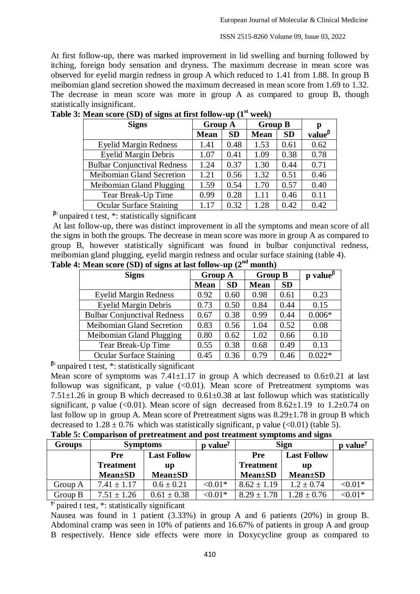At first follow-up, there was marked improvement in lid swelling and burning followed by itching, foreign body sensation and dryness. The maximum decrease in mean score was observed for eyelid margin redness in group A which reduced to 1.41 from 1.88. In group B meibomian gland secretion showed the maximum decreased in mean score from 1.69 to 1.32. The decrease in mean score was more in group A as compared to group B, though statistically insignificant.

| <b>Signs</b>                       | <b>Group A</b> |           | <b>Group B</b> | р         |               |
|------------------------------------|----------------|-----------|----------------|-----------|---------------|
|                                    | <b>Mean</b>    | <b>SD</b> | <b>Mean</b>    | <b>SD</b> | value $\beta$ |
| <b>Eyelid Margin Redness</b>       | 1.41           | 0.48      | 1.53           | 0.61      | 0.62          |
| <b>Eyelid Margin Debris</b>        | 1.07           | 0.41      | 1.09           | 0.38      | 0.78          |
| <b>Bulbar Conjunctival Redness</b> | 1.24           | 0.37      | 1.30           | 0.44      | 0.71          |
| Meibomian Gland Secretion          | 1.21           | 0.56      | 1.32           | 0.51      | 0.46          |
| Meibomian Gland Plugging           | 1.59           | 0.54      | 1.70           | 0.57      | 0.40          |
| Tear Break-Up Time                 | 0.99           | 0.28      | 1.11           | 0.46      | 0.11          |
| <b>Ocular Surface Staining</b>     | 1.17           | 0.32      | 1.28           | 0.42      | 0.42          |

**Table 3: Mean score (SD) of signs at first follow-up (1st week)**

<sup>8</sup>: unpaired t test, \*: statistically significant

At last follow-up, there was distinct improvement in all the symptoms and mean score of all the signs in both the groups. The decrease in mean score was more in group A as compared to group B, however statistically significant was found in bulbar conjunctival redness, meibomian gland plugging, eyelid margin redness and ocular surface staining (table 4).

| e 4: Mean score (SD) of signs at last follow-up (2 <sup>nd</sup> month) |                                    |                |           |                |                                                              |          |  |  |  |
|-------------------------------------------------------------------------|------------------------------------|----------------|-----------|----------------|--------------------------------------------------------------|----------|--|--|--|
|                                                                         | <b>Signs</b>                       | <b>Group A</b> |           | <b>Group B</b> | $\mathbf p$ value <sup><math>\boldsymbol{\beta}</math></sup> |          |  |  |  |
|                                                                         |                                    | <b>Mean</b>    | <b>SD</b> | <b>Mean</b>    | <b>SD</b>                                                    |          |  |  |  |
|                                                                         | <b>Eyelid Margin Redness</b>       | 0.92           | 0.60      | 0.98           | 0.61                                                         | 0.23     |  |  |  |
|                                                                         | <b>Eyelid Margin Debris</b>        | 0.73           | 0.50      | 0.84           | 0.44                                                         | 0.15     |  |  |  |
|                                                                         | <b>Bulbar Conjunctival Redness</b> | 0.67           | 0.38      | 0.99           | 0.44                                                         | $0.006*$ |  |  |  |
|                                                                         | Meibomian Gland Secretion          | 0.83           | 0.56      | 1.04           | 0.52                                                         | 0.08     |  |  |  |
|                                                                         | Meibomian Gland Plugging           | 0.80           | 0.62      | 1.02           | 0.66                                                         | 0.10     |  |  |  |
|                                                                         | Tear Break-Up Time                 | 0.55           | 0.38      | 0.68           | 0.49                                                         | 0.13     |  |  |  |

**Table 4: M** 

**:** unpaired t test, \*: statistically significant

Mean score of symptoms was  $7.41 \pm 1.17$  in group A which decreased to  $0.6 \pm 0.21$  at last followup was significant, p value  $\langle 0.01 \rangle$ . Mean score of Pretreatment symptoms was 7.51 $\pm$ 1.26 in group B which decreased to 0.61 $\pm$ 0.38 at last followup which was statistically significant, p value (<0.01). Mean score of sign decreased from  $8.62 \pm 1.19$  to  $1.2 \pm 0.74$  on last follow up in group A. Mean score of Pretreatment signs was 8.29±1.78 in group B which decreased to  $1.28 \pm 0.76$  which was statistically significant, p value (<0.01) (table 5).

Ocular Surface Staining 0.45 0.36 0.79 0.46 0.022\*

|  |  | Table 5: Comparison of pretreatment and post treatment symptoms and signs |  |  |  |  |
|--|--|---------------------------------------------------------------------------|--|--|--|--|
|  |  |                                                                           |  |  |  |  |

| Groups  | <b>Symptoms</b>             |                    | $p$ value <sup><math>\gamma</math></sup> | <b>Sign</b>                 | $value^{\gamma}$ |            |
|---------|-----------------------------|--------------------|------------------------------------------|-----------------------------|------------------|------------|
|         | <b>Pre</b>                  | <b>Last Follow</b> |                                          | <b>Last Follow</b><br>Pre   |                  |            |
|         | <b>Treatment</b>            | up                 |                                          | <b>Treatment</b><br>up      |                  |            |
|         | <b>Mean</b> <sup>t</sup> SD | <b>Mean</b> ±SD    |                                          | <b>Mean</b> <sup>t</sup> SD | <b>Mean</b> ±SD  |            |
| Group A | $7.41 \pm 1.17$             | $0.6 \pm 0.21$     | $< 0.01*$                                | $8.62 \pm 1.19$             | $1.2 \pm 0.74$   | ${<}0.01*$ |
| Group B | $7.51 \pm 1.26$             | $0.61 \pm 0.38$    | ${<}0.01*$                               | $8.29 \pm 1.78$             | $1.28 \pm 0.76$  | $< 0.01*$  |

**:** paired t test, \*: statistically significant

Nausea was found in 1 patient (3.33%) in group A and 6 patients (20%) in group B. Abdominal cramp was seen in 10% of patients and 16.67% of patients in group A and group B respectively. Hence side effects were more in Doxycycline group as compared to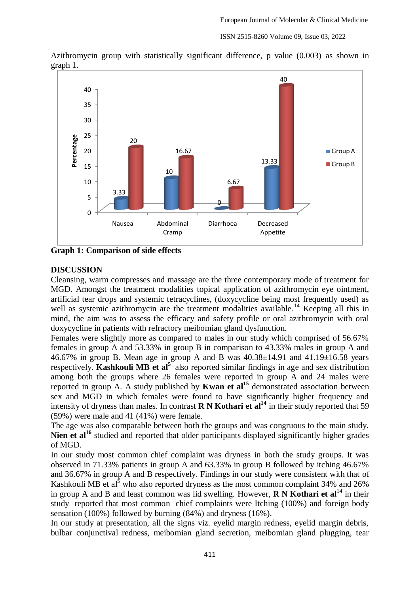

Azithromycin group with statistically significant difference, p value (0.003) as shown in graph 1.

**Graph 1: Comparison of side effects** 

### **DISCUSSION**

Cleansing, warm compresses and massage are the three contemporary mode of treatment for MGD. Amongst the treatment modalities topical application of azithromycin eye ointment, artificial tear drops and systemic tetracyclines, (doxycycline being most frequently used) as well as systemic azithromycin are the treatment modalities available.<sup>14</sup> Keeping all this in mind, the aim was to assess the efficacy and safety profile or oral azithromycin with oral doxycycline in patients with refractory meibomian gland dysfunction.

Females were slightly more as compared to males in our study which comprised of 56.67% females in group A and 53.33% in group B in comparison to 43.33% males in group A and 46.67% in group B. Mean age in group A and B was  $40.38\pm14.91$  and  $41.19\pm16.58$  years respectively. **Kashkouli MB et al**<sup>5</sup> also reported similar findings in age and sex distribution among both the groups where 26 females were reported in group A and 24 males were reported in group A. A study published by **Kwan et al<sup>15</sup>** demonstrated association between sex and MGD in which females were found to have significantly higher frequency and intensity of dryness than males. In contrast **R N Kothari et al<sup>14</sup>** in their study reported that 59 (59%) were male and 41 (41%) were female.

The age was also comparable between both the groups and was congruous to the main study. Nien et al<sup>16</sup> studied and reported that older participants displayed significantly higher grades of MGD.

In our study most common chief complaint was dryness in both the study groups. It was observed in 71.33% patients in group A and 63.33% in group B followed by itching 46.67% and 36.67% in group A and B respectively. Findings in our study were consistent with that of Kashkouli MB et al<sup>5</sup> who also reported dryness as the most common complaint 34% and 26% in group A and B and least common was lid swelling. However, **R N Kothari et al**<sup>14</sup> in their study reported that most common chief complaints were Itching (100%) and foreign body sensation (100%) followed by burning (84%) and dryness (16%).

In our study at presentation, all the signs viz. eyelid margin redness, eyelid margin debris, bulbar conjunctival redness, meibomian gland secretion, meibomian gland plugging, tear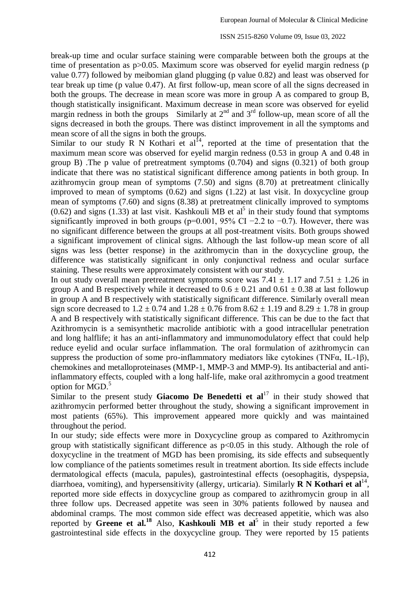break-up time and ocular surface staining were comparable between both the groups at the time of presentation as  $p > 0.05$ . Maximum score was observed for eyelid margin redness (p value 0.77) followed by meibomian gland plugging (p value 0.82) and least was observed for tear break up time (p value 0.47). At first follow-up, mean score of all the signs decreased in both the groups. The decrease in mean score was more in group A as compared to group B, though statistically insignificant. Maximum decrease in mean score was observed for eyelid margin redness in both the groups Similarly at  $2<sup>nd</sup>$  and  $3<sup>rd</sup>$  follow-up, mean score of all the signs decreased in both the groups. There was distinct improvement in all the symptoms and mean score of all the signs in both the groups.

Similar to our study  $\overline{R}$  N Kothari et al<sup>14</sup>, reported at the time of presentation that the maximum mean score was observed for eyelid margin redness (0.53 in group A and 0.48 in group B) .The p value of pretreatment symptoms (0.704) and signs (0.321) of both group indicate that there was no statistical significant difference among patients in both group. In azithromycin group mean of symptoms (7.50) and signs (8.70) at pretreatment clinically improved to mean of symptoms (0.62) and signs (1.22) at last visit. In doxycycline group mean of symptoms (7.60) and signs (8.38) at pretreatment clinically improved to symptoms  $(0.62)$  and signs  $(1.33)$  at last visit. Kashkouli MB et al<sup>5</sup> in their study found that symptoms significantly improved in both groups (p=0.001, 95% CI –2.2 to –0.7). However, there was no significant difference between the groups at all post-treatment visits. Both groups showed a significant improvement of clinical signs. Although the last follow-up mean score of all signs was less (better response) in the azithromycin than in the doxycycline group, the difference was statistically significant in only conjunctival redness and ocular surface staining. These results were approximately consistent with our study.

In out study overall mean pretreatment symptoms score was  $7.41 \pm 1.17$  and  $7.51 \pm 1.26$  in group A and B respectively while it decreased to  $0.6 \pm 0.21$  and  $0.61 \pm 0.38$  at last followup in group A and B respectively with statistically significant difference. Similarly overall mean sign score decreased to  $1.2 \pm 0.74$  and  $1.28 \pm 0.76$  from  $8.62 \pm 1.19$  and  $8.29 \pm 1.78$  in group A and B respectively with statistically significant difference. This can be due to the fact that Azithromycin is a semisynthetic macrolide antibiotic with a good intracellular penetration and long halflife; it has an anti-inflammatory and immunomodulatory effect that could help reduce eyelid and ocular surface inflammation. The oral formulation of azithromycin can suppress the production of some pro-inflammatory mediators like cytokines (TNFα, IL-1β), chemokines and metalloproteinases (MMP-1, MMP-3 and MMP-9). Its antibacterial and antiinflammatory effects, coupled with a long half-life, make oral azithromycin a good treatment option for MGD. 5

Similar to the present study **Giacomo De Benedetti et al**<sup>17</sup> in their study showed that azithromycin performed better throughout the study, showing a significant improvement in most patients (65%). This improvement appeared more quickly and was maintained throughout the period.

In our study; side effects were more in Doxycycline group as compared to Azithromycin group with statistically significant difference as  $p<0.05$  in this study. Although the role of doxycycline in the treatment of MGD has been promising, its side effects and subsequently low compliance of the patients sometimes result in treatment abortion. Its side effects include dermatological effects (macula, papules), gastrointestinal effects (oesophagitis, dyspepsia, diarrhoea, vomiting), and hypersensitivity (allergy, urticaria). Similarly **R N Kothari et al**<sup>14</sup>, reported more side effects in doxycycline group as compared to azithromycin group in all three follow ups. Decreased appetite was seen in 30% patients followed by nausea and abdominal cramps. The most common side effect was decreased appetitie, which was also reported by Greene et al.<sup>18</sup> Also, Kashkouli MB et al<sup>5</sup> in their study reported a few gastrointestinal side effects in the doxycycline group. They were reported by 15 patients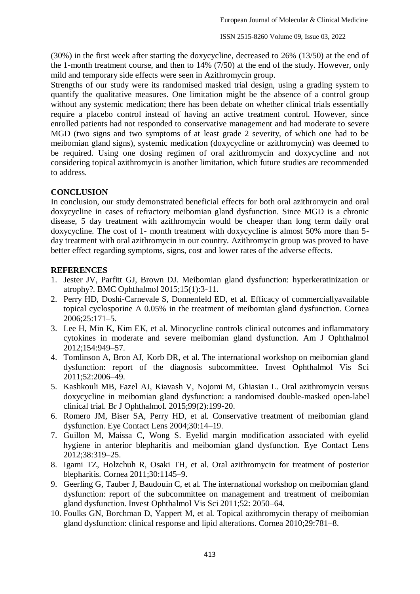(30%) in the first week after starting the doxycycline, decreased to 26% (13/50) at the end of the 1-month treatment course, and then to 14% (7/50) at the end of the study. However, only mild and temporary side effects were seen in Azithromycin group.

Strengths of our study were its randomised masked trial design, using a grading system to quantify the qualitative measures. One limitation might be the absence of a control group without any systemic medication; there has been debate on whether clinical trials essentially require a placebo control instead of having an active treatment control. However, since enrolled patients had not responded to conservative management and had moderate to severe MGD (two signs and two symptoms of at least grade 2 severity, of which one had to be meibomian gland signs), systemic medication (doxycycline or azithromycin) was deemed to be required. Using one dosing regimen of oral azithromycin and doxycycline and not considering topical azithromycin is another limitation, which future studies are recommended to address.

## **CONCLUSION**

In conclusion, our study demonstrated beneficial effects for both oral azithromycin and oral doxycycline in cases of refractory meibomian gland dysfunction. Since MGD is a chronic disease, 5 day treatment with azithromycin would be cheaper than long term daily oral doxycycline. The cost of 1- month treatment with doxycycline is almost 50% more than 5 day treatment with oral azithromycin in our country. Azithromycin group was proved to have better effect regarding symptoms, signs, cost and lower rates of the adverse effects.

## **REFERENCES**

- 1. Jester JV, Parfitt GJ, Brown DJ. Meibomian gland dysfunction: hyperkeratinization or atrophy?. BMC Ophthalmol 2015;15(1):3-11.
- 2. Perry HD, Doshi-Carnevale S, Donnenfeld ED, et al. Efficacy of commerciallyavailable topical cyclosporine A 0.05% in the treatment of meibomian gland dysfunction. Cornea 2006;25:171–5.
- 3. Lee H, Min K, Kim EK, et al. Minocycline controls clinical outcomes and inflammatory cytokines in moderate and severe meibomian gland dysfunction. Am J Ophthalmol 2012;154:949–57.
- 4. Tomlinson A, Bron AJ, Korb DR, et al. The international workshop on meibomian gland dysfunction: report of the diagnosis subcommittee. Invest Ophthalmol Vis Sci 2011;52:2006–49.
- 5. Kashkouli MB, Fazel AJ, Kiavash V, Nojomi M, Ghiasian L. Oral azithromycin versus doxycycline in meibomian gland dysfunction: a randomised double-masked open-label clinical trial. Br J Ophthalmol. 2015;99(2):199-20.
- 6. Romero JM, Biser SA, Perry HD, et al. Conservative treatment of meibomian gland dysfunction. Eye Contact Lens 2004;30:14–19.
- 7. Guillon M, Maissa C, Wong S. Eyelid margin modification associated with eyelid hygiene in anterior blepharitis and meibomian gland dysfunction. Eye Contact Lens 2012;38:319–25.
- 8. Igami TZ, Holzchuh R, Osaki TH, et al. Oral azithromycin for treatment of posterior blepharitis. Cornea 2011;30:1145–9.
- 9. Geerling G, Tauber J, Baudouin C, et al. The international workshop on meibomian gland dysfunction: report of the subcommittee on management and treatment of meibomian gland dysfunction. Invest Ophthalmol Vis Sci 2011;52: 2050–64.
- 10. Foulks GN, Borchman D, Yappert M, et al. Topical azithromycin therapy of meibomian gland dysfunction: clinical response and lipid alterations. Cornea 2010;29:781–8.